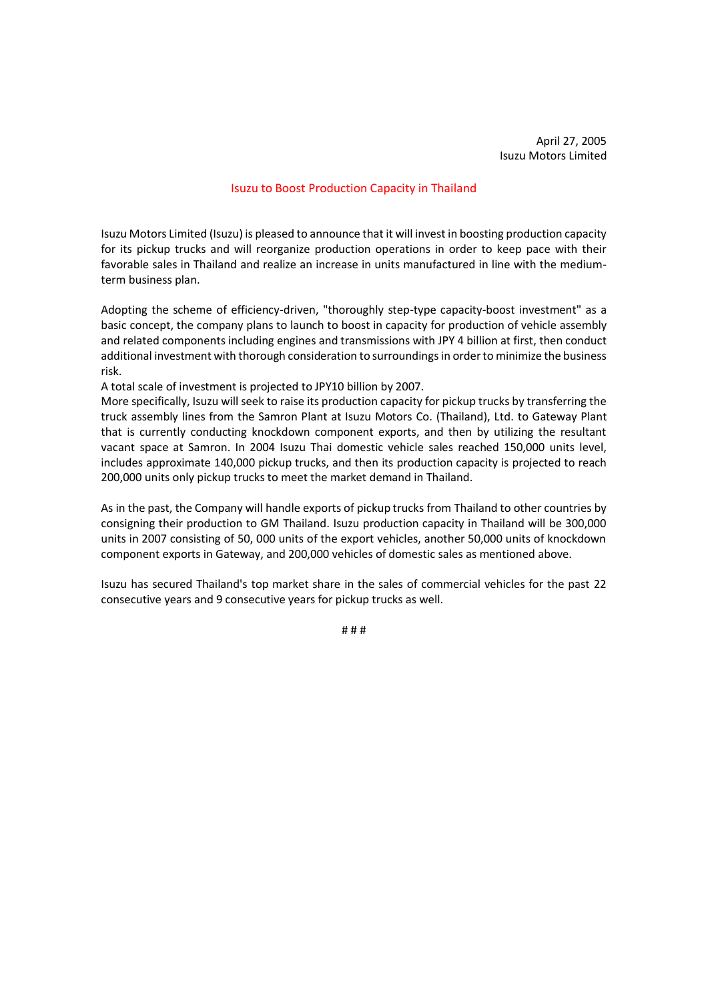April 27, 2005 Isuzu Motors Limited

## Isuzu to Boost Production Capacity in Thailand

Isuzu Motors Limited (Isuzu) is pleased to announce that it will invest in boosting production capacity for its pickup trucks and will reorganize production operations in order to keep pace with their favorable sales in Thailand and realize an increase in units manufactured in line with the mediumterm business plan.

Adopting the scheme of efficiency-driven, "thoroughly step-type capacity-boost investment" as a basic concept, the company plans to launch to boost in capacity for production of vehicle assembly and related components including engines and transmissions with JPY 4 billion at first, then conduct additional investment with thorough consideration to surroundings in order to minimize the business risk.

A total scale of investment is projected to JPY10 billion by 2007.

More specifically, Isuzu will seek to raise its production capacity for pickup trucks by transferring the truck assembly lines from the Samron Plant at Isuzu Motors Co. (Thailand), Ltd. to Gateway Plant that is currently conducting knockdown component exports, and then by utilizing the resultant vacant space at Samron. In 2004 Isuzu Thai domestic vehicle sales reached 150,000 units level, includes approximate 140,000 pickup trucks, and then its production capacity is projected to reach 200,000 units only pickup trucks to meet the market demand in Thailand.

As in the past, the Company will handle exports of pickup trucks from Thailand to other countries by consigning their production to GM Thailand. Isuzu production capacity in Thailand will be 300,000 units in 2007 consisting of 50, 000 units of the export vehicles, another 50,000 units of knockdown component exports in Gateway, and 200,000 vehicles of domestic sales as mentioned above.

Isuzu has secured Thailand's top market share in the sales of commercial vehicles for the past 22 consecutive years and 9 consecutive years for pickup trucks as well.

# # #